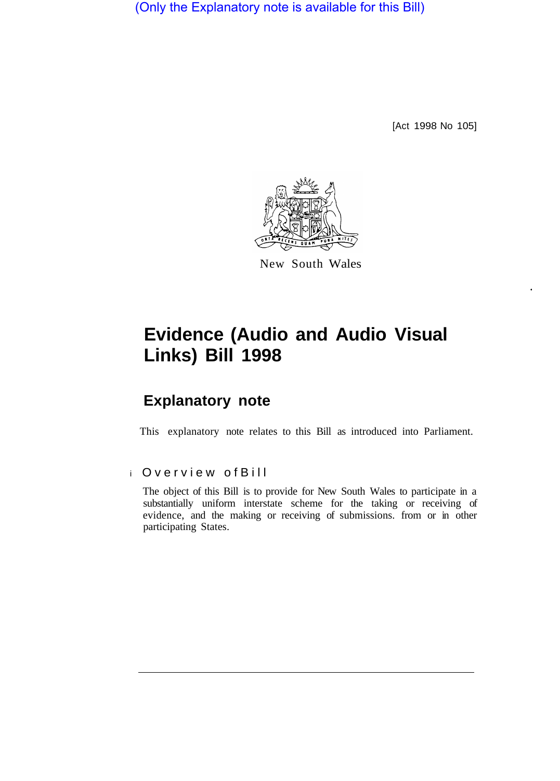(Only the Explanatory note is available for this Bill)

[Act 1998 No 105]



New South Wales

# **Evidence (Audio and Audio Visual Links) Bill 1998**

## **Explanatory note**

This explanatory note relates to this Bill as introduced into Parliament.

#### i Overview ofBill

The object of this Bill is to provide for New South Wales to participate in a substantially uniform interstate scheme for the taking or receiving of evidence, and the making or receiving of submissions. from or in other participating States.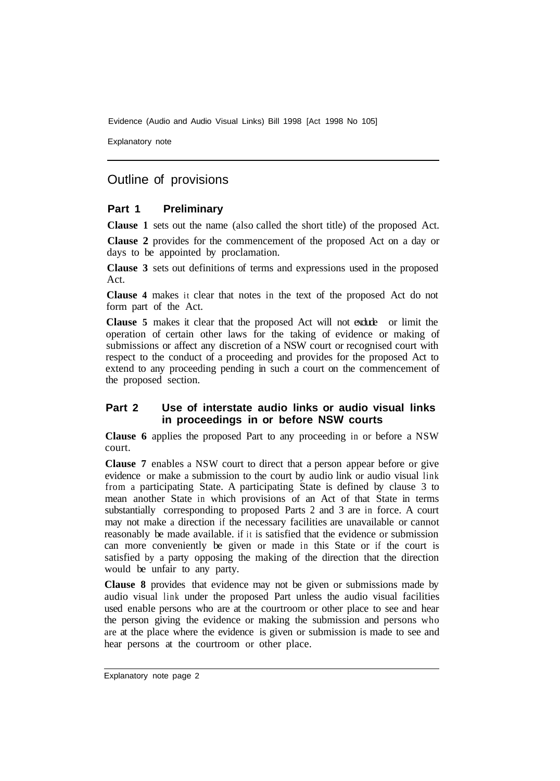Evidence (Audio and Audio Visual Links) Bill 1998 [Act 1998 No 105]

Explanatory note

### Outline of provisions

#### **Part 1 Preliminary**

**Clause 1** sets out the name (also called the short title) of the proposed Act.

**Clause 2** provides for the commencement of the proposed Act on a day or days to be appointed by proclamation.

**Clause 3** sets out definitions of terms and expressions used in the proposed Act.

**Clause 4** makes it clear that notes in the text of the proposed Act do not form part of the Act.

**Clause 5** makes it clear that the proposed Act will not exclude or limit the operation of certain other laws for the taking of evidence or making of submissions or affect any discretion of a NSW court or recognised court with respect to the conduct of a proceeding and provides for the proposed Act to extend to any proceeding pending in such a court on the commencement of the proposed section.

#### **Part 2 Use of interstate audio links or audio visual links in proceedings in or before NSW courts**

**Clause 6** applies the proposed Part to any proceeding in or before a NSW court.

**Clause 7** enables a NSW court to direct that a person appear before or give evidence or make a submission to the court by audio link or audio visual link from a participating State. A participating State is defined by clause 3 to mean another State in which provisions of an Act of that State in terms substantially corresponding to proposed Parts 2 and 3 are in force. A court may not make a direction if the necessary facilities are unavailable or cannot reasonably be made available. if it is satisfied that the evidence or submission can more conveniently be given or made in this State or if the court is satisfied by a party opposing the making of the direction that the direction would be unfair to any party.

**Clause 8** provides that evidence may not be given or submissions made by audio visual link under the proposed Part unless the audio visual facilities used enable persons who are at the courtroom or other place to see and hear the person giving the evidence or making the submission and persons who are at the place where the evidence is given or submission is made to see and hear persons at the courtroom or other place.

Explanatory note page 2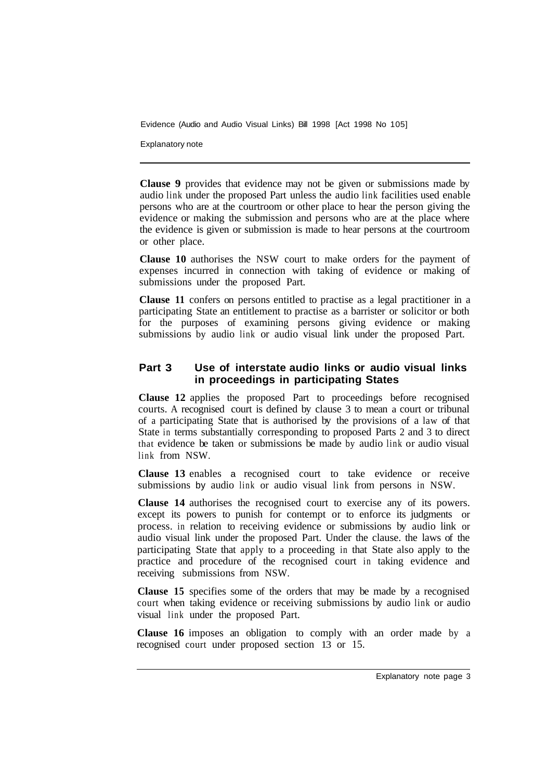Evidence (Audio and Audio Visual Links) Bill 1998 [Act 1998 No 105]

Explanatory note

**Clause 9** provides that evidence may not be given or submissions made by audio link under the proposed Part unless the audio link facilities used enable persons who are at the courtroom or other place to hear the person giving the evidence or making the submission and persons who are at the place where the evidence is given or submission is made to hear persons at the courtroom or other place.

**Clause 10** authorises the NSW court to make orders for the payment of expenses incurred in connection with taking of evidence or making of submissions under the proposed Part.

**Clause 11** confers on persons entitled to practise as a legal practitioner in a participating State an entitlement to practise as a barrister or solicitor or both for the purposes of examining persons giving evidence or making submissions by audio link or audio visual link under the proposed Part.

#### **Part 3 Use of interstate audio links or audio visual links in proceedings in participating States**

**Clause 12** applies the proposed Part to proceedings before recognised courts. A recognised court is defined by clause 3 to mean a court or tribunal of a participating State that is authorised by the provisions of a law of that State in terms substantially corresponding to proposed Parts 2 and 3 to direct that evidence be taken or submissions be made by audio link or audio visual link from NSW.

**Clause 13** enables a recognised court to take evidence or receive submissions by audio link or audio visual link from persons in NSW.

**Clause 14** authorises the recognised court to exercise any of its powers. except its powers to punish for contempt or to enforce its judgments or process. in relation to receiving evidence or submissions by audio link or audio visual link under the proposed Part. Under the clause. the laws of the participating State that apply to a proceeding in that State also apply to the practice and procedure of the recognised court in taking evidence and receiving submissions from NSW.

**Clause 15** specifies some of the orders that may be made by a recognised court when taking evidence or receiving submissions by audio link or audio visual link under the proposed Part.

**Clause 16** imposes an obligation to comply with an order made by a recognised court under proposed section 13 or 15.